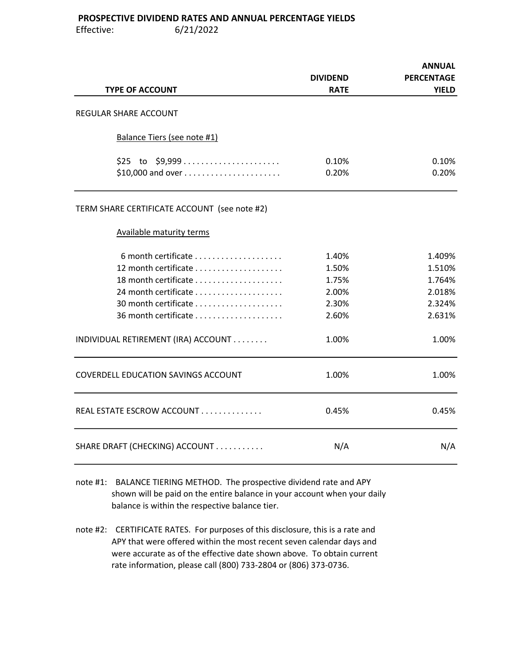## PROSPECTIVE DIVIDEND RATES AND ANNUAL PERCENTAGE YIELDS

Effective: 6/21/2022

| <b>TYPE OF ACCOUNT</b>                       | <b>DIVIDEND</b><br><b>RATE</b> | <b>ANNUAL</b><br><b>PERCENTAGE</b><br><b>YIELD</b> |
|----------------------------------------------|--------------------------------|----------------------------------------------------|
| REGULAR SHARE ACCOUNT                        |                                |                                                    |
|                                              |                                |                                                    |
| Balance Tiers (see note #1)                  |                                |                                                    |
| \$25 to \$9,999                              | 0.10%                          | 0.10%                                              |
|                                              | 0.20%                          | 0.20%                                              |
| TERM SHARE CERTIFICATE ACCOUNT (see note #2) |                                |                                                    |
| <b>Available maturity terms</b>              |                                |                                                    |
| 6 month certificate                          | 1.40%                          | 1.409%                                             |
|                                              | 1.50%                          | 1.510%                                             |
|                                              | 1.75%                          | 1.764%                                             |
|                                              | 2.00%                          | 2.018%                                             |
|                                              | 2.30%                          | 2.324%                                             |
| 36 month certificate                         | 2.60%                          | 2.631%                                             |
| INDIVIDUAL RETIREMENT (IRA) ACCOUNT          | 1.00%                          | 1.00%                                              |
| COVERDELL EDUCATION SAVINGS ACCOUNT          | 1.00%                          | 1.00%                                              |
| REAL ESTATE ESCROW ACCOUNT                   | 0.45%                          | 0.45%                                              |
| SHARE DRAFT (CHECKING) ACCOUNT               | N/A                            | N/A                                                |
|                                              |                                |                                                    |

- note #1: BALANCE TIERING METHOD. The prospective dividend rate and APY shown will be paid on the entire balance in your account when your daily balance is within the respective balance tier.
- note #2: CERTIFICATE RATES. For purposes of this disclosure, this is a rate and APY that were offered within the most recent seven calendar days and were accurate as of the effective date shown above. To obtain current rate information, please call (800) 733-2804 or (806) 373-0736.